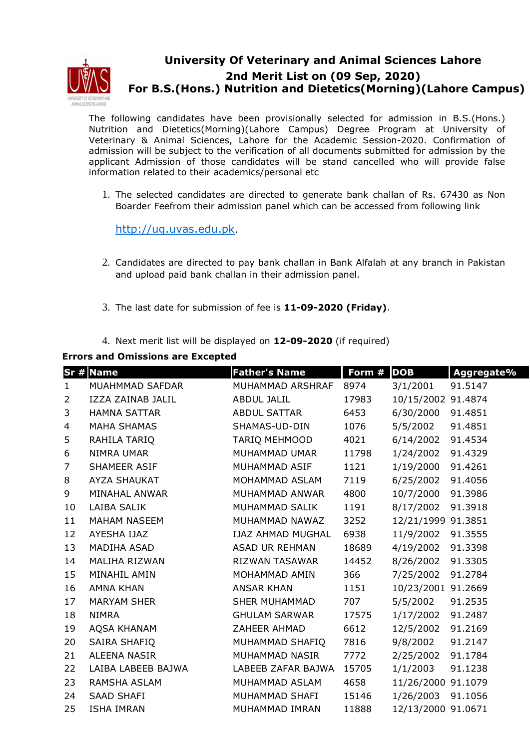

## **University Of Veterinary and Animal Sciences Lahore 2nd Merit List on (09 Sep, 2020) For B.S.(Hons.) Nutrition and Dietetics(Morning)(Lahore Campus)**

The following candidates have been provisionally selected for admission in B.S.(Hons.) Nutrition and Dietetics(Morning)(Lahore Campus) Degree Program at University of Veterinary & Animal Sciences, Lahore for the Academic Session-2020. Confirmation of admission will be subject to the verification of all documents submitted for admission by the applicant Admission of those candidates will be stand cancelled who will provide false information related to their academics/personal etc

1. The selected candidates are directed to generate bank challan of Rs. 67430 as Non Boarder Feefrom their admission panel which can be accessed from following link

http://ug.uvas.edu.pk.

- 2. Candidates are directed to pay bank challan in Bank Alfalah at any branch in Pakistan and upload paid bank challan in their admission panel.
- 3. The last date for submission of fee is **11-09-2020 (Friday)**.
- 4. Next merit list will be displayed on **12-09-2020** (if required)

**Errors and Omissions are Excepted**

|                | $Sr$ # Name         | <b>Father's Name</b>     | Form # | <b>DOB</b>         | Aggregate% |
|----------------|---------------------|--------------------------|--------|--------------------|------------|
| $\mathbf{1}$   | MUAHMMAD SAFDAR     | MUHAMMAD ARSHRAF         | 8974   | 3/1/2001           | 91.5147    |
| $\overline{2}$ | IZZA ZAINAB JALIL   | <b>ABDUL JALIL</b>       | 17983  | 10/15/2002 91.4874 |            |
| 3              | <b>HAMNA SATTAR</b> | <b>ABDUL SATTAR</b>      | 6453   | 6/30/2000          | 91.4851    |
| 4              | <b>MAHA SHAMAS</b>  | SHAMAS-UD-DIN            | 1076   | 5/5/2002           | 91.4851    |
| 5              | RAHILA TARIQ        | <b>TARIO MEHMOOD</b>     | 4021   | 6/14/2002          | 91.4534    |
| 6              | NIMRA UMAR          | MUHAMMAD UMAR            | 11798  | 1/24/2002          | 91.4329    |
| $\overline{7}$ | SHAMEER ASIF        | MUHAMMAD ASIF            | 1121   | 1/19/2000          | 91.4261    |
| 8              | <b>AYZA SHAUKAT</b> | MOHAMMAD ASLAM           | 7119   | 6/25/2002          | 91.4056    |
| 9              | MINAHAL ANWAR       | MUHAMMAD ANWAR           | 4800   | 10/7/2000          | 91.3986    |
| 10             | LAIBA SALIK         | MUHAMMAD SALIK           | 1191   | 8/17/2002          | 91.3918    |
| 11             | <b>MAHAM NASEEM</b> | MUHAMMAD NAWAZ           | 3252   | 12/21/1999 91.3851 |            |
| 12             | AYESHA IJAZ         | <b>IJAZ AHMAD MUGHAL</b> | 6938   | 11/9/2002          | 91.3555    |
| 13             | <b>MADIHA ASAD</b>  | ASAD UR REHMAN           | 18689  | 4/19/2002          | 91.3398    |
| 14             | MALIHA RIZWAN       | <b>RIZWAN TASAWAR</b>    | 14452  | 8/26/2002          | 91.3305    |
| 15             | MINAHIL AMIN        | MOHAMMAD AMIN            | 366    | 7/25/2002          | 91.2784    |
| 16             | <b>AMNA KHAN</b>    | <b>ANSAR KHAN</b>        | 1151   | 10/23/2001 91.2669 |            |
| 17             | <b>MARYAM SHER</b>  | <b>SHER MUHAMMAD</b>     | 707    | 5/5/2002           | 91.2535    |
| 18             | <b>NIMRA</b>        | <b>GHULAM SARWAR</b>     | 17575  | 1/17/2002          | 91.2487    |
| 19             | AQSA KHANAM         | ZAHEER AHMAD             | 6612   | 12/5/2002          | 91.2169    |
| 20             | SAIRA SHAFIQ        | MUHAMMAD SHAFIQ          | 7816   | 9/8/2002           | 91.2147    |
| 21             | <b>ALEENA NASIR</b> | MUHAMMAD NASIR           | 7772   | 2/25/2002          | 91.1784    |
| 22             | LAIBA LABEEB BAJWA  | LABEEB ZAFAR BAJWA       | 15705  | 1/1/2003           | 91.1238    |
| 23             | <b>RAMSHA ASLAM</b> | MUHAMMAD ASLAM           | 4658   | 11/26/2000 91.1079 |            |
| 24             | <b>SAAD SHAFI</b>   | MUHAMMAD SHAFI           | 15146  | 1/26/2003          | 91.1056    |
| 25             | <b>ISHA IMRAN</b>   | MUHAMMAD IMRAN           | 11888  | 12/13/2000 91.0671 |            |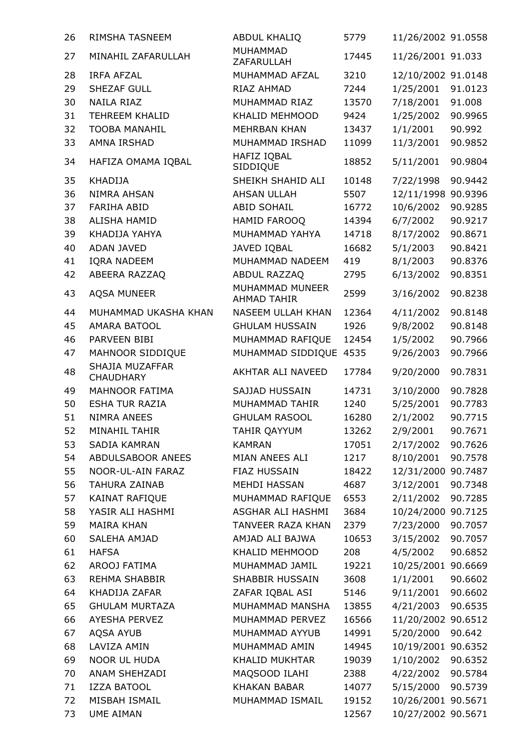| 26 | RIMSHA TASNEEM                      | <b>ABDUL KHALIQ</b>                   | 5779  | 11/26/2002 91.0558 |         |
|----|-------------------------------------|---------------------------------------|-------|--------------------|---------|
| 27 | MINAHIL ZAFARULLAH                  | MUHAMMAD<br>ZAFARULLAH                | 17445 | 11/26/2001 91.033  |         |
| 28 | <b>IRFA AFZAL</b>                   | MUHAMMAD AFZAL                        | 3210  | 12/10/2002 91.0148 |         |
| 29 | SHEZAF GULL                         | RIAZ AHMAD                            | 7244  | 1/25/2001          | 91.0123 |
| 30 | NAILA RIAZ                          | MUHAMMAD RIAZ                         | 13570 | 7/18/2001          | 91.008  |
| 31 | <b>TEHREEM KHALID</b>               | KHALID MEHMOOD                        | 9424  | 1/25/2002          | 90.9965 |
| 32 | <b>TOOBA MANAHIL</b>                | <b>MEHRBAN KHAN</b>                   | 13437 | 1/1/2001           | 90.992  |
| 33 | AMNA IRSHAD                         | MUHAMMAD IRSHAD                       | 11099 | 11/3/2001          | 90.9852 |
| 34 | HAFIZA OMAMA IQBAL                  | HAFIZ IQBAL<br>SIDDIQUE               | 18852 | 5/11/2001          | 90.9804 |
| 35 | <b>KHADIJA</b>                      | SHEIKH SHAHID ALI                     | 10148 | 7/22/1998          | 90.9442 |
| 36 | <b>NIMRA AHSAN</b>                  | <b>AHSAN ULLAH</b>                    | 5507  | 12/11/1998         | 90.9396 |
| 37 | <b>FARIHA ABID</b>                  | <b>ABID SOHAIL</b>                    | 16772 | 10/6/2002          | 90.9285 |
| 38 | ALISHA HAMID                        | HAMID FAROOQ                          | 14394 | 6/7/2002           | 90.9217 |
| 39 | KHADIJA YAHYA                       | MUHAMMAD YAHYA                        | 14718 | 8/17/2002          | 90.8671 |
| 40 | <b>ADAN JAVED</b>                   | JAVED IQBAL                           | 16682 | 5/1/2003           | 90.8421 |
| 41 | <b>IQRA NADEEM</b>                  | MUHAMMAD NADEEM                       | 419   | 8/1/2003           | 90.8376 |
| 42 | ABEERA RAZZAQ                       | ABDUL RAZZAQ                          | 2795  | 6/13/2002          | 90.8351 |
| 43 | <b>AQSA MUNEER</b>                  | MUHAMMAD MUNEER<br><b>AHMAD TAHIR</b> | 2599  | 3/16/2002          | 90.8238 |
| 44 | MUHAMMAD UKASHA KHAN                | NASEEM ULLAH KHAN                     | 12364 | 4/11/2002          | 90.8148 |
| 45 | <b>AMARA BATOOL</b>                 | <b>GHULAM HUSSAIN</b>                 | 1926  | 9/8/2002           | 90.8148 |
| 46 | PARVEEN BIBI                        | MUHAMMAD RAFIQUE                      | 12454 | 1/5/2002           | 90.7966 |
| 47 | MAHNOOR SIDDIQUE                    | MUHAMMAD SIDDIQUE 4535                |       | 9/26/2003          | 90.7966 |
| 48 | SHAJIA MUZAFFAR<br><b>CHAUDHARY</b> | AKHTAR ALI NAVEED                     | 17784 | 9/20/2000          | 90.7831 |
| 49 | <b>MAHNOOR FATIMA</b>               | SAJJAD HUSSAIN                        | 14731 | 3/10/2000          | 90.7828 |
| 50 | <b>ESHA TUR RAZIA</b>               | MUHAMMAD TAHIR                        | 1240  | 5/25/2001          | 90.7783 |
| 51 | <b>NIMRA ANEES</b>                  | <b>GHULAM RASOOL</b>                  | 16280 | 2/1/2002           | 90.7715 |
| 52 | MINAHIL TAHIR                       | TAHIR QAYYUM                          | 13262 | 2/9/2001           | 90.7671 |
| 53 | <b>SADIA KAMRAN</b>                 | <b>KAMRAN</b>                         | 17051 | 2/17/2002          | 90.7626 |
| 54 | ABDULSABOOR ANEES                   | MIAN ANEES ALI                        | 1217  | 8/10/2001          | 90.7578 |
| 55 | NOOR-UL-AIN FARAZ                   | FIAZ HUSSAIN                          | 18422 | 12/31/2000 90.7487 |         |
| 56 | <b>TAHURA ZAINAB</b>                | MEHDI HASSAN                          | 4687  | 3/12/2001          | 90.7348 |
| 57 | KAINAT RAFIQUE                      | MUHAMMAD RAFIQUE                      | 6553  | 2/11/2002          | 90.7285 |
| 58 | YASIR ALI HASHMI                    | ASGHAR ALI HASHMI                     | 3684  | 10/24/2000 90.7125 |         |
| 59 | <b>MAIRA KHAN</b>                   | TANVEER RAZA KHAN                     | 2379  | 7/23/2000          | 90.7057 |
| 60 | SALEHA AMJAD                        | AMJAD ALI BAJWA                       | 10653 | 3/15/2002          | 90.7057 |
| 61 | <b>HAFSA</b>                        | KHALID MEHMOOD                        | 208   | 4/5/2002           | 90.6852 |
| 62 | AROOJ FATIMA                        | MUHAMMAD JAMIL                        | 19221 | 10/25/2001 90.6669 |         |
| 63 | REHMA SHABBIR                       | SHABBIR HUSSAIN                       | 3608  | 1/1/2001           | 90.6602 |
| 64 | KHADIJA ZAFAR                       | ZAFAR IQBAL ASI                       | 5146  | 9/11/2001          | 90.6602 |
| 65 | <b>GHULAM MURTAZA</b>               | MUHAMMAD MANSHA                       | 13855 | 4/21/2003          | 90.6535 |
| 66 | <b>AYESHA PERVEZ</b>                | MUHAMMAD PERVEZ                       | 16566 | 11/20/2002 90.6512 |         |
| 67 | AQSA AYUB                           | MUHAMMAD AYYUB                        | 14991 | 5/20/2000          | 90.642  |
| 68 | LAVIZA AMIN                         | MUHAMMAD AMIN                         | 14945 | 10/19/2001 90.6352 |         |
| 69 | NOOR UL HUDA                        | KHALID MUKHTAR                        | 19039 | 1/10/2002          | 90.6352 |
| 70 | ANAM SHEHZADI                       | MAQSOOD ILAHI                         | 2388  | 4/22/2002          | 90.5784 |
| 71 | <b>IZZA BATOOL</b>                  | <b>KHAKAN BABAR</b>                   | 14077 | 5/15/2000          | 90.5739 |
| 72 | MISBAH ISMAIL                       | MUHAMMAD ISMAIL                       | 19152 | 10/26/2001 90.5671 |         |
| 73 | <b>UME AIMAN</b>                    |                                       | 12567 | 10/27/2002 90.5671 |         |
|    |                                     |                                       |       |                    |         |